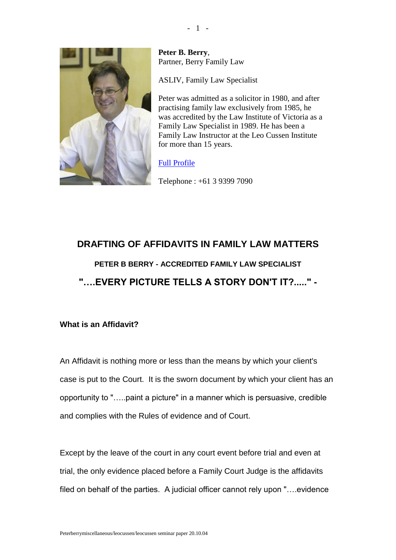

**Peter B. Berry**, Partner, Berry Family Law

ASLIV, Family Law Specialist

Peter was admitted as a solicitor in 1980, and after practising family law exclusively from 1985, he was accredited by the Law Institute of Victoria as a Family Law Specialist in 1989. He has been a Family Law Instructor at the Leo Cussen Institute for more than 15 years.

## [Full Profile](http://www.berryfamilylaw.com.au/site/our-people/peter-berry.html)

Telephone : +61 3 9399 7090

# **DRAFTING OF AFFIDAVITS IN FAMILY LAW MATTERS PETER B BERRY - ACCREDITED FAMILY LAW SPECIALIST "….EVERY PICTURE TELLS A STORY DON'T IT?....." -**

## **What is an Affidavit?**

An Affidavit is nothing more or less than the means by which your client's case is put to the Court. It is the sworn document by which your client has an opportunity to "…..paint a picture" in a manner which is persuasive, credible and complies with the Rules of evidence and of Court.

Except by the leave of the court in any court event before trial and even at trial, the only evidence placed before a Family Court Judge is the affidavits filed on behalf of the parties. A judicial officer cannot rely upon "….evidence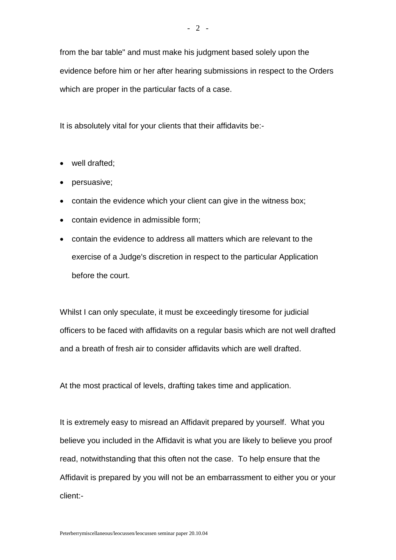from the bar table" and must make his judgment based solely upon the evidence before him or her after hearing submissions in respect to the Orders which are proper in the particular facts of a case.

It is absolutely vital for your clients that their affidavits be:-

- well drafted;
- persuasive;
- contain the evidence which your client can give in the witness box;
- contain evidence in admissible form:
- contain the evidence to address all matters which are relevant to the exercise of a Judge's discretion in respect to the particular Application before the court.

Whilst I can only speculate, it must be exceedingly tiresome for judicial officers to be faced with affidavits on a regular basis which are not well drafted and a breath of fresh air to consider affidavits which are well drafted.

At the most practical of levels, drafting takes time and application.

It is extremely easy to misread an Affidavit prepared by yourself. What you believe you included in the Affidavit is what you are likely to believe you proof read, notwithstanding that this often not the case. To help ensure that the Affidavit is prepared by you will not be an embarrassment to either you or your client:-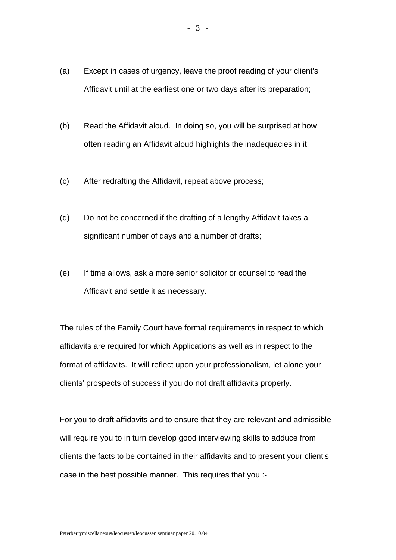- (a) Except in cases of urgency, leave the proof reading of your client's Affidavit until at the earliest one or two days after its preparation;
- (b) Read the Affidavit aloud. In doing so, you will be surprised at how often reading an Affidavit aloud highlights the inadequacies in it;
- (c) After redrafting the Affidavit, repeat above process;
- (d) Do not be concerned if the drafting of a lengthy Affidavit takes a significant number of days and a number of drafts;
- (e) If time allows, ask a more senior solicitor or counsel to read the Affidavit and settle it as necessary.

The rules of the Family Court have formal requirements in respect to which affidavits are required for which Applications as well as in respect to the format of affidavits. It will reflect upon your professionalism, let alone your clients' prospects of success if you do not draft affidavits properly.

For you to draft affidavits and to ensure that they are relevant and admissible will require you to in turn develop good interviewing skills to adduce from clients the facts to be contained in their affidavits and to present your client's case in the best possible manner. This requires that you :-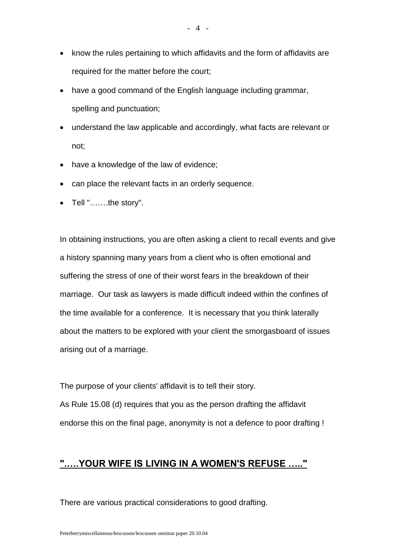- know the rules pertaining to which affidavits and the form of affidavits are required for the matter before the court;
- have a good command of the English language including grammar, spelling and punctuation;
- understand the law applicable and accordingly, what facts are relevant or not;
- have a knowledge of the law of evidence;
- can place the relevant facts in an orderly sequence.
- Tell "…….the story".

In obtaining instructions, you are often asking a client to recall events and give a history spanning many years from a client who is often emotional and suffering the stress of one of their worst fears in the breakdown of their marriage. Our task as lawyers is made difficult indeed within the confines of the time available for a conference. It is necessary that you think laterally about the matters to be explored with your client the smorgasboard of issues arising out of a marriage.

The purpose of your clients' affidavit is to tell their story. As Rule 15.08 (d) requires that you as the person drafting the affidavit endorse this on the final page, anonymity is not a defence to poor drafting !

# **".….YOUR WIFE IS LIVING IN A WOMEN'S REFUSE ….."**

There are various practical considerations to good drafting.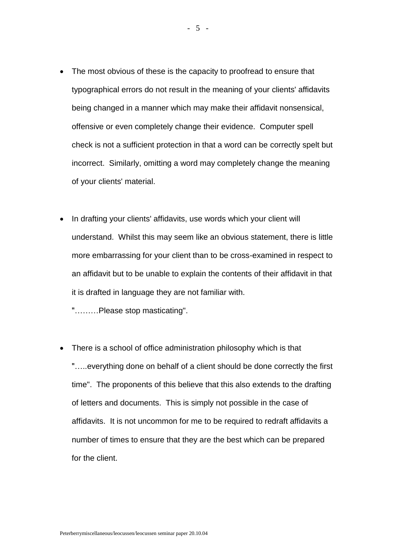- The most obvious of these is the capacity to proofread to ensure that typographical errors do not result in the meaning of your clients' affidavits being changed in a manner which may make their affidavit nonsensical, offensive or even completely change their evidence. Computer spell check is not a sufficient protection in that a word can be correctly spelt but incorrect. Similarly, omitting a word may completely change the meaning of your clients' material.
- In drafting your clients' affidavits, use words which your client will understand. Whilst this may seem like an obvious statement, there is little more embarrassing for your client than to be cross-examined in respect to an affidavit but to be unable to explain the contents of their affidavit in that it is drafted in language they are not familiar with.

"………Please stop masticating".

• There is a school of office administration philosophy which is that "…..everything done on behalf of a client should be done correctly the first time". The proponents of this believe that this also extends to the drafting of letters and documents. This is simply not possible in the case of affidavits. It is not uncommon for me to be required to redraft affidavits a number of times to ensure that they are the best which can be prepared for the client.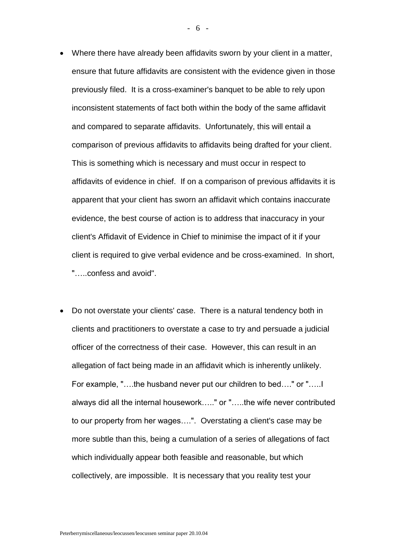- Where there have already been affidavits sworn by your client in a matter, ensure that future affidavits are consistent with the evidence given in those previously filed. It is a cross-examiner's banquet to be able to rely upon inconsistent statements of fact both within the body of the same affidavit and compared to separate affidavits. Unfortunately, this will entail a comparison of previous affidavits to affidavits being drafted for your client. This is something which is necessary and must occur in respect to affidavits of evidence in chief. If on a comparison of previous affidavits it is apparent that your client has sworn an affidavit which contains inaccurate evidence, the best course of action is to address that inaccuracy in your client's Affidavit of Evidence in Chief to minimise the impact of it if your client is required to give verbal evidence and be cross-examined. In short, "…..confess and avoid".
- Do not overstate your clients' case. There is a natural tendency both in clients and practitioners to overstate a case to try and persuade a judicial officer of the correctness of their case. However, this can result in an allegation of fact being made in an affidavit which is inherently unlikely. For example, "….the husband never put our children to bed…." or "…..I always did all the internal housework….." or "…..the wife never contributed to our property from her wages….". Overstating a client's case may be more subtle than this, being a cumulation of a series of allegations of fact which individually appear both feasible and reasonable, but which collectively, are impossible. It is necessary that you reality test your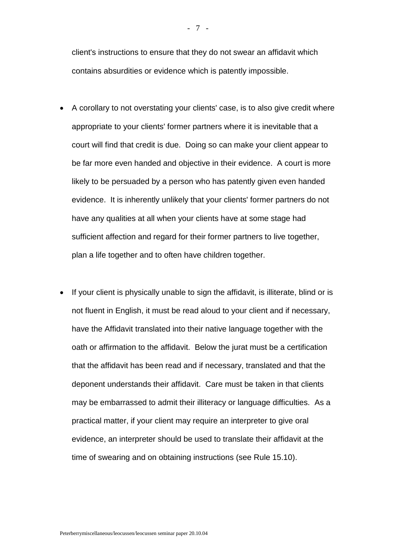client's instructions to ensure that they do not swear an affidavit which contains absurdities or evidence which is patently impossible.

- A corollary to not overstating your clients' case, is to also give credit where appropriate to your clients' former partners where it is inevitable that a court will find that credit is due. Doing so can make your client appear to be far more even handed and objective in their evidence. A court is more likely to be persuaded by a person who has patently given even handed evidence. It is inherently unlikely that your clients' former partners do not have any qualities at all when your clients have at some stage had sufficient affection and regard for their former partners to live together, plan a life together and to often have children together.
- If your client is physically unable to sign the affidavit, is illiterate, blind or is not fluent in English, it must be read aloud to your client and if necessary, have the Affidavit translated into their native language together with the oath or affirmation to the affidavit. Below the jurat must be a certification that the affidavit has been read and if necessary, translated and that the deponent understands their affidavit. Care must be taken in that clients may be embarrassed to admit their illiteracy or language difficulties. As a practical matter, if your client may require an interpreter to give oral evidence, an interpreter should be used to translate their affidavit at the time of swearing and on obtaining instructions (see Rule 15.10).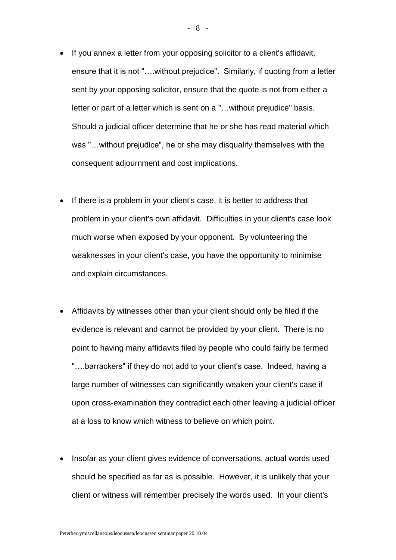- If you annex a letter from your opposing solicitor to a client's affidavit, ensure that it is not "….without prejudice". Similarly, if quoting from a letter sent by your opposing solicitor, ensure that the quote is not from either a letter or part of a letter which is sent on a "…without prejudice" basis. Should a judicial officer determine that he or she has read material which was "…without prejudice", he or she may disqualify themselves with the consequent adjournment and cost implications.
- If there is a problem in your client's case, it is better to address that problem in your client's own affidavit. Difficulties in your client's case look much worse when exposed by your opponent. By volunteering the weaknesses in your client's case, you have the opportunity to minimise and explain circumstances.
- Affidavits by witnesses other than your client should only be filed if the evidence is relevant and cannot be provided by your client. There is no point to having many affidavits filed by people who could fairly be termed "….barrackers" if they do not add to your client's case. Indeed, having a large number of witnesses can significantly weaken your client's case if upon cross-examination they contradict each other leaving a judicial officer at a loss to know which witness to believe on which point.
- Insofar as your client gives evidence of conversations, actual words used should be specified as far as is possible. However, it is unlikely that your client or witness will remember precisely the words used. In your client's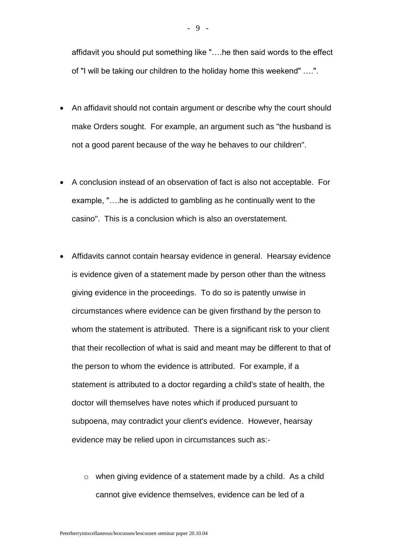affidavit you should put something like "….he then said words to the effect of "I will be taking our children to the holiday home this weekend" ….".

- An affidavit should not contain argument or describe why the court should make Orders sought. For example, an argument such as "the husband is not a good parent because of the way he behaves to our children".
- A conclusion instead of an observation of fact is also not acceptable. For example, "….he is addicted to gambling as he continually went to the casino". This is a conclusion which is also an overstatement.
- Affidavits cannot contain hearsay evidence in general. Hearsay evidence is evidence given of a statement made by person other than the witness giving evidence in the proceedings. To do so is patently unwise in circumstances where evidence can be given firsthand by the person to whom the statement is attributed. There is a significant risk to your client that their recollection of what is said and meant may be different to that of the person to whom the evidence is attributed. For example, if a statement is attributed to a doctor regarding a child's state of health, the doctor will themselves have notes which if produced pursuant to subpoena, may contradict your client's evidence. However, hearsay evidence may be relied upon in circumstances such as:
	- o when giving evidence of a statement made by a child. As a child cannot give evidence themselves, evidence can be led of a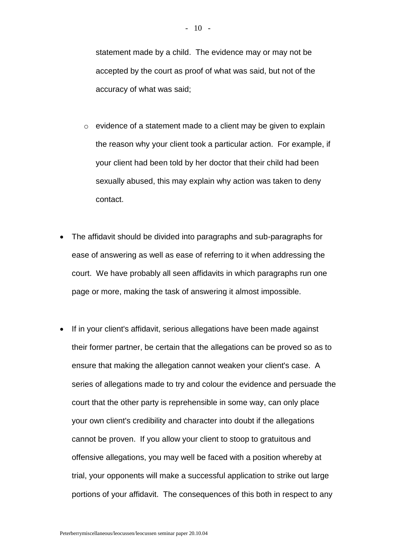statement made by a child. The evidence may or may not be accepted by the court as proof of what was said, but not of the accuracy of what was said;

- o evidence of a statement made to a client may be given to explain the reason why your client took a particular action. For example, if your client had been told by her doctor that their child had been sexually abused, this may explain why action was taken to deny contact.
- The affidavit should be divided into paragraphs and sub-paragraphs for ease of answering as well as ease of referring to it when addressing the court. We have probably all seen affidavits in which paragraphs run one page or more, making the task of answering it almost impossible.
- If in your client's affidavit, serious allegations have been made against their former partner, be certain that the allegations can be proved so as to ensure that making the allegation cannot weaken your client's case. A series of allegations made to try and colour the evidence and persuade the court that the other party is reprehensible in some way, can only place your own client's credibility and character into doubt if the allegations cannot be proven. If you allow your client to stoop to gratuitous and offensive allegations, you may well be faced with a position whereby at trial, your opponents will make a successful application to strike out large portions of your affidavit. The consequences of this both in respect to any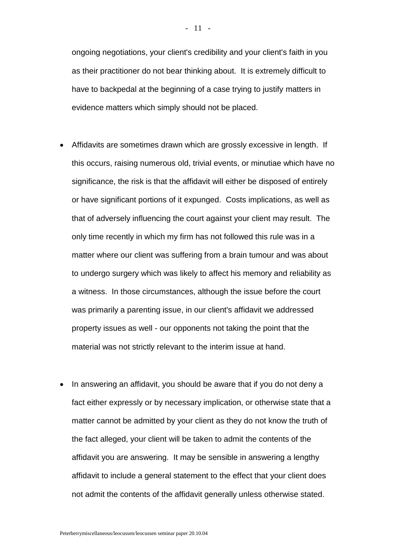ongoing negotiations, your client's credibility and your client's faith in you as their practitioner do not bear thinking about. It is extremely difficult to have to backpedal at the beginning of a case trying to justify matters in evidence matters which simply should not be placed.

- Affidavits are sometimes drawn which are grossly excessive in length. If this occurs, raising numerous old, trivial events, or minutiae which have no significance, the risk is that the affidavit will either be disposed of entirely or have significant portions of it expunged. Costs implications, as well as that of adversely influencing the court against your client may result. The only time recently in which my firm has not followed this rule was in a matter where our client was suffering from a brain tumour and was about to undergo surgery which was likely to affect his memory and reliability as a witness. In those circumstances, although the issue before the court was primarily a parenting issue, in our client's affidavit we addressed property issues as well - our opponents not taking the point that the material was not strictly relevant to the interim issue at hand.
- In answering an affidavit, you should be aware that if you do not deny a fact either expressly or by necessary implication, or otherwise state that a matter cannot be admitted by your client as they do not know the truth of the fact alleged, your client will be taken to admit the contents of the affidavit you are answering. It may be sensible in answering a lengthy affidavit to include a general statement to the effect that your client does not admit the contents of the affidavit generally unless otherwise stated.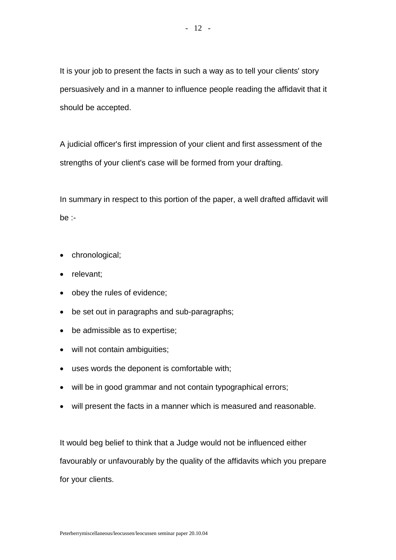It is your job to present the facts in such a way as to tell your clients' story persuasively and in a manner to influence people reading the affidavit that it should be accepted.

A judicial officer's first impression of your client and first assessment of the strengths of your client's case will be formed from your drafting.

In summary in respect to this portion of the paper, a well drafted affidavit will be :-

- chronological;
- relevant:
- obey the rules of evidence;
- be set out in paragraphs and sub-paragraphs;
- be admissible as to expertise;
- will not contain ambiguities;
- uses words the deponent is comfortable with;
- will be in good grammar and not contain typographical errors;
- will present the facts in a manner which is measured and reasonable.

It would beg belief to think that a Judge would not be influenced either favourably or unfavourably by the quality of the affidavits which you prepare for your clients.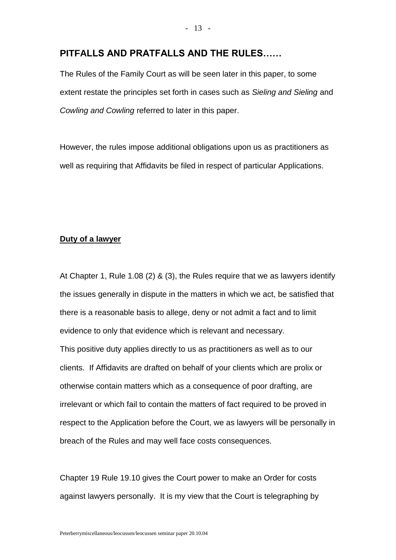#### **PITFALLS AND PRATFALLS AND THE RULES……**

The Rules of the Family Court as will be seen later in this paper, to some extent restate the principles set forth in cases such as *Sieling and Sieling* and *Cowling and Cowling* referred to later in this paper.

However, the rules impose additional obligations upon us as practitioners as well as requiring that Affidavits be filed in respect of particular Applications.

#### **Duty of a lawyer**

At Chapter 1, Rule 1.08 (2) & (3), the Rules require that we as lawyers identify the issues generally in dispute in the matters in which we act, be satisfied that there is a reasonable basis to allege, deny or not admit a fact and to limit evidence to only that evidence which is relevant and necessary. This positive duty applies directly to us as practitioners as well as to our clients. If Affidavits are drafted on behalf of your clients which are prolix or otherwise contain matters which as a consequence of poor drafting, are irrelevant or which fail to contain the matters of fact required to be proved in respect to the Application before the Court, we as lawyers will be personally in breach of the Rules and may well face costs consequences.

Chapter 19 Rule 19.10 gives the Court power to make an Order for costs against lawyers personally. It is my view that the Court is telegraphing by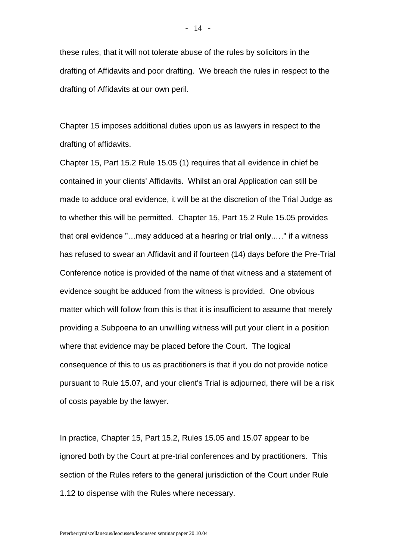these rules, that it will not tolerate abuse of the rules by solicitors in the drafting of Affidavits and poor drafting. We breach the rules in respect to the drafting of Affidavits at our own peril.

Chapter 15 imposes additional duties upon us as lawyers in respect to the drafting of affidavits.

Chapter 15, Part 15.2 Rule 15.05 (1) requires that all evidence in chief be contained in your clients' Affidavits. Whilst an oral Application can still be made to adduce oral evidence, it will be at the discretion of the Trial Judge as to whether this will be permitted. Chapter 15, Part 15.2 Rule 15.05 provides that oral evidence "…may adduced at a hearing or trial **only**..…" if a witness has refused to swear an Affidavit and if fourteen (14) days before the Pre-Trial Conference notice is provided of the name of that witness and a statement of evidence sought be adduced from the witness is provided. One obvious matter which will follow from this is that it is insufficient to assume that merely providing a Subpoena to an unwilling witness will put your client in a position where that evidence may be placed before the Court. The logical consequence of this to us as practitioners is that if you do not provide notice pursuant to Rule 15.07, and your client's Trial is adjourned, there will be a risk of costs payable by the lawyer.

In practice, Chapter 15, Part 15.2, Rules 15.05 and 15.07 appear to be ignored both by the Court at pre-trial conferences and by practitioners. This section of the Rules refers to the general jurisdiction of the Court under Rule 1.12 to dispense with the Rules where necessary.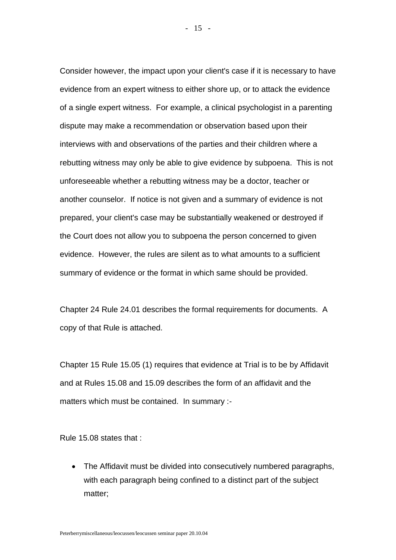Consider however, the impact upon your client's case if it is necessary to have evidence from an expert witness to either shore up, or to attack the evidence of a single expert witness. For example, a clinical psychologist in a parenting dispute may make a recommendation or observation based upon their interviews with and observations of the parties and their children where a rebutting witness may only be able to give evidence by subpoena. This is not unforeseeable whether a rebutting witness may be a doctor, teacher or another counselor. If notice is not given and a summary of evidence is not prepared, your client's case may be substantially weakened or destroyed if the Court does not allow you to subpoena the person concerned to given evidence. However, the rules are silent as to what amounts to a sufficient summary of evidence or the format in which same should be provided.

Chapter 24 Rule 24.01 describes the formal requirements for documents. A copy of that Rule is attached.

Chapter 15 Rule 15.05 (1) requires that evidence at Trial is to be by Affidavit and at Rules 15.08 and 15.09 describes the form of an affidavit and the matters which must be contained. In summary :-

Rule 15.08 states that :

• The Affidavit must be divided into consecutively numbered paragraphs, with each paragraph being confined to a distinct part of the subject matter;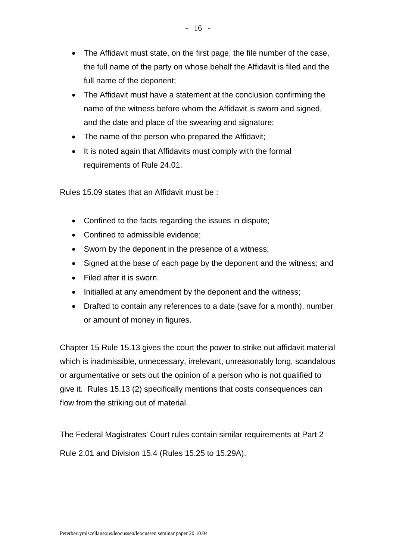- The Affidavit must state, on the first page, the file number of the case, the full name of the party on whose behalf the Affidavit is filed and the full name of the deponent;
- The Affidavit must have a statement at the conclusion confirming the name of the witness before whom the Affidavit is sworn and signed, and the date and place of the swearing and signature;
- The name of the person who prepared the Affidavit;
- It is noted again that Affidavits must comply with the formal requirements of Rule 24.01.

Rules 15.09 states that an Affidavit must be :

- Confined to the facts regarding the issues in dispute;
- Confined to admissible evidence:
- Sworn by the deponent in the presence of a witness;
- Signed at the base of each page by the deponent and the witness; and
- Filed after it is sworn.
- Initialled at any amendment by the deponent and the witness;
- Drafted to contain any references to a date (save for a month), number or amount of money in figures.

Chapter 15 Rule 15.13 gives the court the power to strike out affidavit material which is inadmissible, unnecessary, irrelevant, unreasonably long, scandalous or argumentative or sets out the opinion of a person who is not qualified to give it. Rules 15.13 (2) specifically mentions that costs consequences can flow from the striking out of material.

The Federal Magistrates' Court rules contain similar requirements at Part 2 Rule 2.01 and Division 15.4 (Rules 15.25 to 15.29A).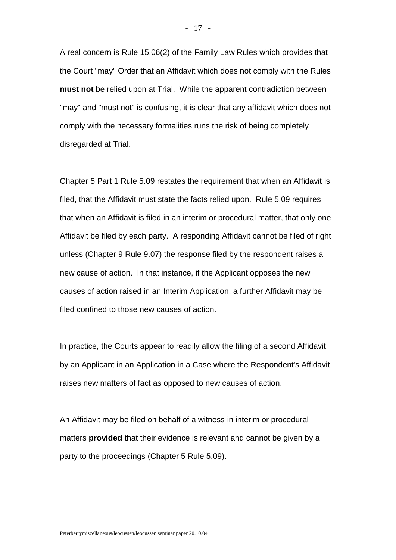A real concern is Rule 15.06(2) of the Family Law Rules which provides that the Court "may" Order that an Affidavit which does not comply with the Rules **must not** be relied upon at Trial. While the apparent contradiction between "may" and "must not" is confusing, it is clear that any affidavit which does not comply with the necessary formalities runs the risk of being completely disregarded at Trial.

Chapter 5 Part 1 Rule 5.09 restates the requirement that when an Affidavit is filed, that the Affidavit must state the facts relied upon. Rule 5.09 requires that when an Affidavit is filed in an interim or procedural matter, that only one Affidavit be filed by each party. A responding Affidavit cannot be filed of right unless (Chapter 9 Rule 9.07) the response filed by the respondent raises a new cause of action. In that instance, if the Applicant opposes the new causes of action raised in an Interim Application, a further Affidavit may be filed confined to those new causes of action.

In practice, the Courts appear to readily allow the filing of a second Affidavit by an Applicant in an Application in a Case where the Respondent's Affidavit raises new matters of fact as opposed to new causes of action.

An Affidavit may be filed on behalf of a witness in interim or procedural matters **provided** that their evidence is relevant and cannot be given by a party to the proceedings (Chapter 5 Rule 5.09).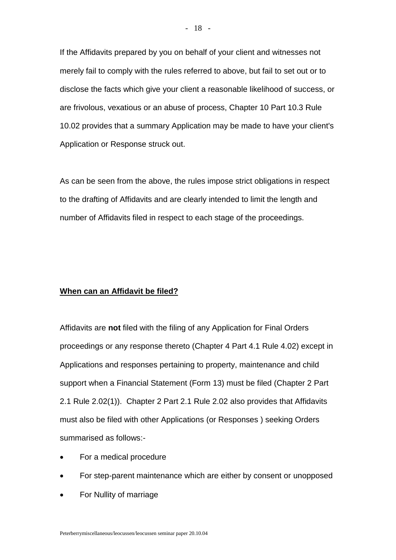If the Affidavits prepared by you on behalf of your client and witnesses not merely fail to comply with the rules referred to above, but fail to set out or to disclose the facts which give your client a reasonable likelihood of success, or are frivolous, vexatious or an abuse of process, Chapter 10 Part 10.3 Rule 10.02 provides that a summary Application may be made to have your client's Application or Response struck out.

As can be seen from the above, the rules impose strict obligations in respect to the drafting of Affidavits and are clearly intended to limit the length and number of Affidavits filed in respect to each stage of the proceedings.

#### **When can an Affidavit be filed?**

Affidavits are **not** filed with the filing of any Application for Final Orders proceedings or any response thereto (Chapter 4 Part 4.1 Rule 4.02) except in Applications and responses pertaining to property, maintenance and child support when a Financial Statement (Form 13) must be filed (Chapter 2 Part 2.1 Rule 2.02(1)). Chapter 2 Part 2.1 Rule 2.02 also provides that Affidavits must also be filed with other Applications (or Responses ) seeking Orders summarised as follows:-

- For a medical procedure
- For step-parent maintenance which are either by consent or unopposed
- For Nullity of marriage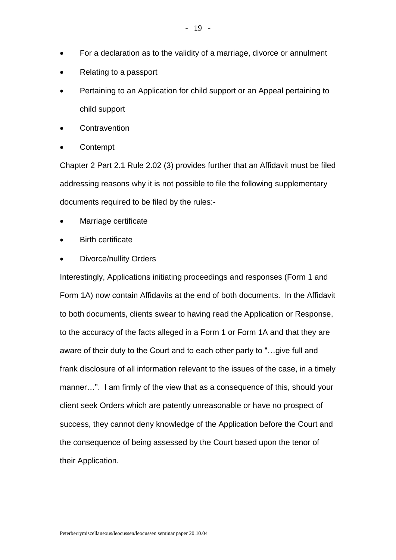- For a declaration as to the validity of a marriage, divorce or annulment
- Relating to a passport
- Pertaining to an Application for child support or an Appeal pertaining to child support
- **Contravention**
- **Contempt**

Chapter 2 Part 2.1 Rule 2.02 (3) provides further that an Affidavit must be filed addressing reasons why it is not possible to file the following supplementary documents required to be filed by the rules:-

- Marriage certificate
- Birth certificate
- Divorce/nullity Orders

Interestingly, Applications initiating proceedings and responses (Form 1 and Form 1A) now contain Affidavits at the end of both documents. In the Affidavit to both documents, clients swear to having read the Application or Response, to the accuracy of the facts alleged in a Form 1 or Form 1A and that they are aware of their duty to the Court and to each other party to "…give full and frank disclosure of all information relevant to the issues of the case, in a timely manner…". I am firmly of the view that as a consequence of this, should your client seek Orders which are patently unreasonable or have no prospect of success, they cannot deny knowledge of the Application before the Court and the consequence of being assessed by the Court based upon the tenor of their Application.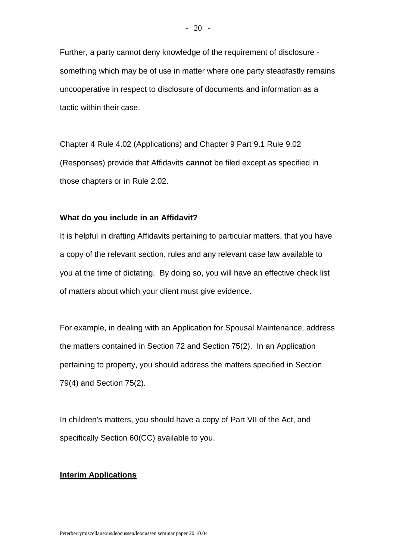Chapter 4 Rule 4.02 (Applications) and Chapter 9 Part 9.1 Rule 9.02 (Responses) provide that Affidavits **cannot** be filed except as specified in those chapters or in Rule 2.02.

#### **What do you include in an Affidavit?**

It is helpful in drafting Affidavits pertaining to particular matters, that you have a copy of the relevant section, rules and any relevant case law available to you at the time of dictating. By doing so, you will have an effective check list of matters about which your client must give evidence.

For example, in dealing with an Application for Spousal Maintenance, address the matters contained in Section 72 and Section 75(2). In an Application pertaining to property, you should address the matters specified in Section 79(4) and Section 75(2).

In children's matters, you should have a copy of Part VII of the Act, and specifically Section 60(CC) available to you.

#### **Interim Applications**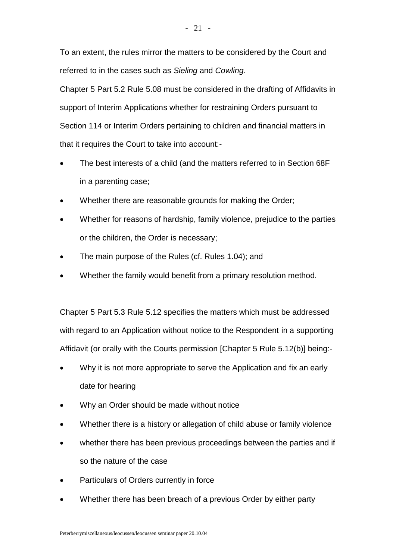To an extent, the rules mirror the matters to be considered by the Court and referred to in the cases such as *Sieling* and *Cowling*.

Chapter 5 Part 5.2 Rule 5.08 must be considered in the drafting of Affidavits in support of Interim Applications whether for restraining Orders pursuant to Section 114 or Interim Orders pertaining to children and financial matters in that it requires the Court to take into account:-

- The best interests of a child (and the matters referred to in Section 68F in a parenting case;
- Whether there are reasonable grounds for making the Order;
- Whether for reasons of hardship, family violence, prejudice to the parties or the children, the Order is necessary;
- The main purpose of the Rules (cf. Rules 1.04); and
- Whether the family would benefit from a primary resolution method.

Chapter 5 Part 5.3 Rule 5.12 specifies the matters which must be addressed with regard to an Application without notice to the Respondent in a supporting Affidavit (or orally with the Courts permission [Chapter 5 Rule 5.12(b)] being:-

- Why it is not more appropriate to serve the Application and fix an early date for hearing
- Why an Order should be made without notice
- Whether there is a history or allegation of child abuse or family violence
- whether there has been previous proceedings between the parties and if so the nature of the case
- Particulars of Orders currently in force
- Whether there has been breach of a previous Order by either party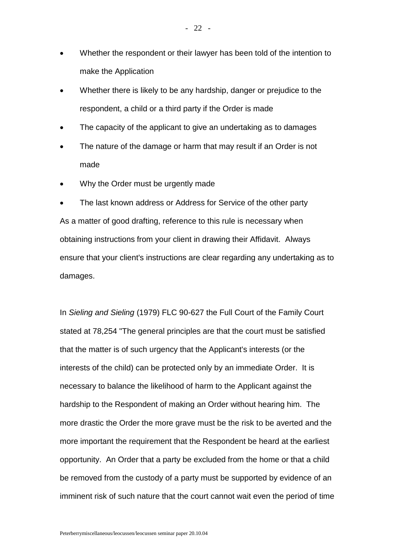- Whether the respondent or their lawyer has been told of the intention to make the Application
- Whether there is likely to be any hardship, danger or prejudice to the respondent, a child or a third party if the Order is made
- The capacity of the applicant to give an undertaking as to damages
- The nature of the damage or harm that may result if an Order is not made
- Why the Order must be urgently made

 The last known address or Address for Service of the other party As a matter of good drafting, reference to this rule is necessary when obtaining instructions from your client in drawing their Affidavit. Always ensure that your client's instructions are clear regarding any undertaking as to damages.

In *Sieling and Sieling* (1979) FLC 90-627 the Full Court of the Family Court stated at 78,254 "The general principles are that the court must be satisfied that the matter is of such urgency that the Applicant's interests (or the interests of the child) can be protected only by an immediate Order. It is necessary to balance the likelihood of harm to the Applicant against the hardship to the Respondent of making an Order without hearing him. The more drastic the Order the more grave must be the risk to be averted and the more important the requirement that the Respondent be heard at the earliest opportunity. An Order that a party be excluded from the home or that a child be removed from the custody of a party must be supported by evidence of an imminent risk of such nature that the court cannot wait even the period of time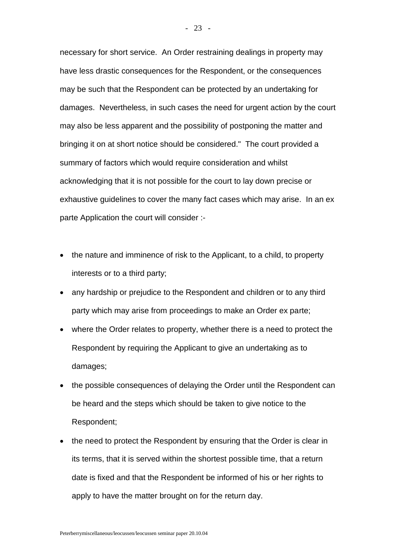necessary for short service. An Order restraining dealings in property may have less drastic consequences for the Respondent, or the consequences may be such that the Respondent can be protected by an undertaking for damages. Nevertheless, in such cases the need for urgent action by the court may also be less apparent and the possibility of postponing the matter and bringing it on at short notice should be considered." The court provided a summary of factors which would require consideration and whilst acknowledging that it is not possible for the court to lay down precise or exhaustive guidelines to cover the many fact cases which may arise. In an ex parte Application the court will consider :-

- the nature and imminence of risk to the Applicant, to a child, to property interests or to a third party;
- any hardship or prejudice to the Respondent and children or to any third party which may arise from proceedings to make an Order ex parte;
- where the Order relates to property, whether there is a need to protect the Respondent by requiring the Applicant to give an undertaking as to damages;
- the possible consequences of delaying the Order until the Respondent can be heard and the steps which should be taken to give notice to the Respondent;
- the need to protect the Respondent by ensuring that the Order is clear in its terms, that it is served within the shortest possible time, that a return date is fixed and that the Respondent be informed of his or her rights to apply to have the matter brought on for the return day.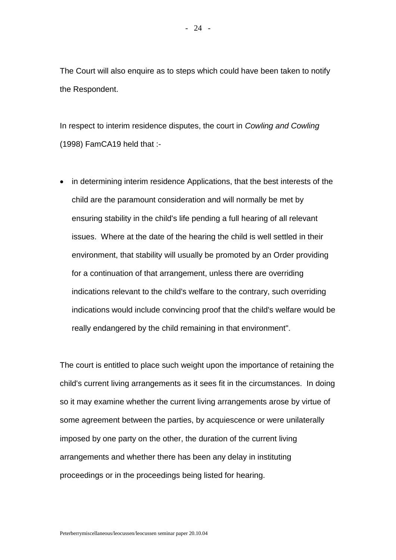The Court will also enquire as to steps which could have been taken to notify the Respondent.

In respect to interim residence disputes, the court in *Cowling and Cowling* (1998) FamCA19 held that :-

• in determining interim residence Applications, that the best interests of the child are the paramount consideration and will normally be met by ensuring stability in the child's life pending a full hearing of all relevant issues. Where at the date of the hearing the child is well settled in their environment, that stability will usually be promoted by an Order providing for a continuation of that arrangement, unless there are overriding indications relevant to the child's welfare to the contrary, such overriding indications would include convincing proof that the child's welfare would be really endangered by the child remaining in that environment".

The court is entitled to place such weight upon the importance of retaining the child's current living arrangements as it sees fit in the circumstances. In doing so it may examine whether the current living arrangements arose by virtue of some agreement between the parties, by acquiescence or were unilaterally imposed by one party on the other, the duration of the current living arrangements and whether there has been any delay in instituting proceedings or in the proceedings being listed for hearing.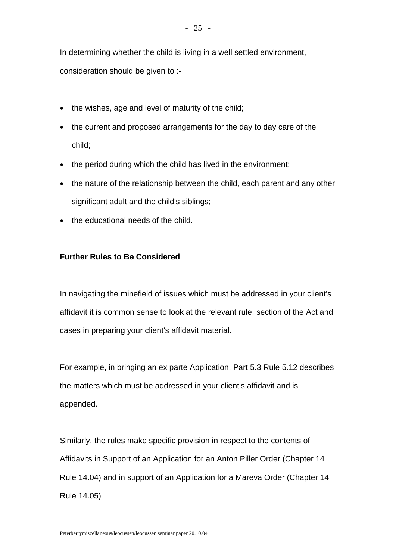In determining whether the child is living in a well settled environment,

consideration should be given to :-

- $\bullet$  the wishes, age and level of maturity of the child;
- the current and proposed arrangements for the day to day care of the child;
- the period during which the child has lived in the environment;
- the nature of the relationship between the child, each parent and any other significant adult and the child's siblings;
- the educational needs of the child.

# **Further Rules to Be Considered**

In navigating the minefield of issues which must be addressed in your client's affidavit it is common sense to look at the relevant rule, section of the Act and cases in preparing your client's affidavit material.

For example, in bringing an ex parte Application, Part 5.3 Rule 5.12 describes the matters which must be addressed in your client's affidavit and is appended.

Similarly, the rules make specific provision in respect to the contents of Affidavits in Support of an Application for an Anton Piller Order (Chapter 14 Rule 14.04) and in support of an Application for a Mareva Order (Chapter 14 Rule 14.05)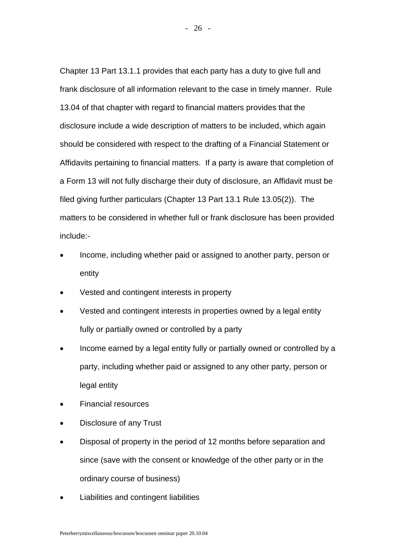Chapter 13 Part 13.1.1 provides that each party has a duty to give full and frank disclosure of all information relevant to the case in timely manner. Rule 13.04 of that chapter with regard to financial matters provides that the disclosure include a wide description of matters to be included, which again should be considered with respect to the drafting of a Financial Statement or Affidavits pertaining to financial matters. If a party is aware that completion of a Form 13 will not fully discharge their duty of disclosure, an Affidavit must be filed giving further particulars (Chapter 13 Part 13.1 Rule 13.05(2)). The matters to be considered in whether full or frank disclosure has been provided include:-

- Income, including whether paid or assigned to another party, person or entity
- Vested and contingent interests in property
- Vested and contingent interests in properties owned by a legal entity fully or partially owned or controlled by a party
- Income earned by a legal entity fully or partially owned or controlled by a party, including whether paid or assigned to any other party, person or legal entity
- Financial resources
- Disclosure of any Trust
- Disposal of property in the period of 12 months before separation and since (save with the consent or knowledge of the other party or in the ordinary course of business)
- Liabilities and contingent liabilities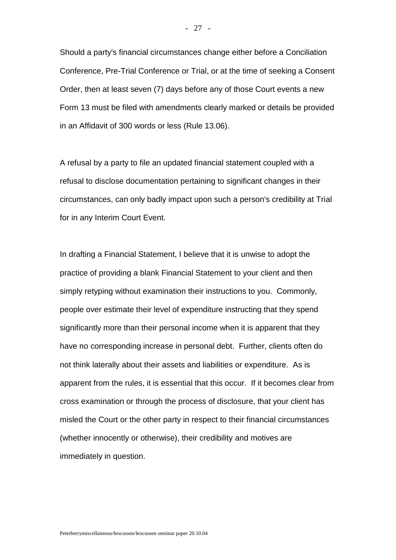Should a party's financial circumstances change either before a Conciliation Conference, Pre-Trial Conference or Trial, or at the time of seeking a Consent Order, then at least seven (7) days before any of those Court events a new Form 13 must be filed with amendments clearly marked or details be provided in an Affidavit of 300 words or less (Rule 13.06).

A refusal by a party to file an updated financial statement coupled with a refusal to disclose documentation pertaining to significant changes in their circumstances, can only badly impact upon such a person's credibility at Trial for in any Interim Court Event.

In drafting a Financial Statement, I believe that it is unwise to adopt the practice of providing a blank Financial Statement to your client and then simply retyping without examination their instructions to you. Commonly, people over estimate their level of expenditure instructing that they spend significantly more than their personal income when it is apparent that they have no corresponding increase in personal debt. Further, clients often do not think laterally about their assets and liabilities or expenditure. As is apparent from the rules, it is essential that this occur. If it becomes clear from cross examination or through the process of disclosure, that your client has misled the Court or the other party in respect to their financial circumstances (whether innocently or otherwise), their credibility and motives are immediately in question.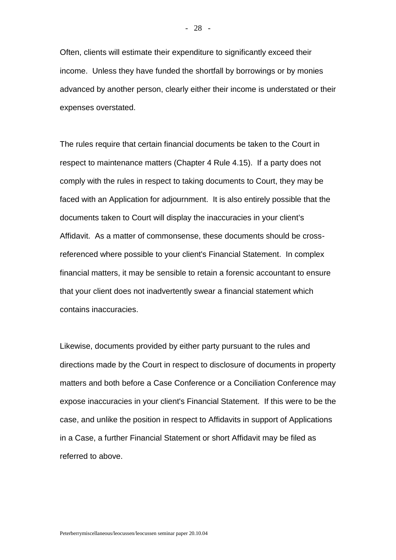- 28 -

income. Unless they have funded the shortfall by borrowings or by monies advanced by another person, clearly either their income is understated or their expenses overstated.

The rules require that certain financial documents be taken to the Court in respect to maintenance matters (Chapter 4 Rule 4.15). If a party does not comply with the rules in respect to taking documents to Court, they may be faced with an Application for adjournment. It is also entirely possible that the documents taken to Court will display the inaccuracies in your client's Affidavit. As a matter of commonsense, these documents should be crossreferenced where possible to your client's Financial Statement. In complex financial matters, it may be sensible to retain a forensic accountant to ensure that your client does not inadvertently swear a financial statement which contains inaccuracies.

Likewise, documents provided by either party pursuant to the rules and directions made by the Court in respect to disclosure of documents in property matters and both before a Case Conference or a Conciliation Conference may expose inaccuracies in your client's Financial Statement. If this were to be the case, and unlike the position in respect to Affidavits in support of Applications in a Case, a further Financial Statement or short Affidavit may be filed as referred to above.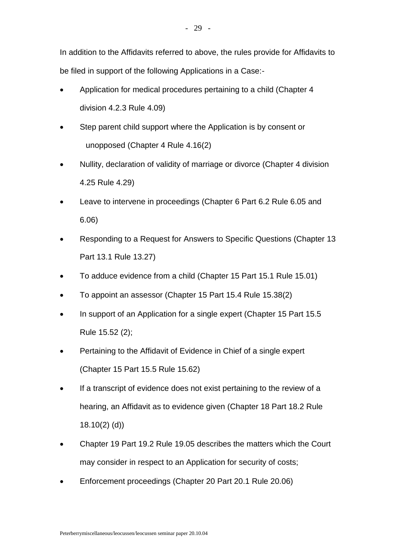In addition to the Affidavits referred to above, the rules provide for Affidavits to be filed in support of the following Applications in a Case:-

- Application for medical procedures pertaining to a child (Chapter 4 division 4.2.3 Rule 4.09)
- Step parent child support where the Application is by consent or unopposed (Chapter 4 Rule 4.16(2)
- Nullity, declaration of validity of marriage or divorce (Chapter 4 division 4.25 Rule 4.29)
- Leave to intervene in proceedings (Chapter 6 Part 6.2 Rule 6.05 and 6.06)
- Responding to a Request for Answers to Specific Questions (Chapter 13 Part 13.1 Rule 13.27)
- To adduce evidence from a child (Chapter 15 Part 15.1 Rule 15.01)
- To appoint an assessor (Chapter 15 Part 15.4 Rule 15.38(2)
- In support of an Application for a single expert (Chapter 15 Part 15.5 Rule 15.52 (2);
- Pertaining to the Affidavit of Evidence in Chief of a single expert (Chapter 15 Part 15.5 Rule 15.62)
- If a transcript of evidence does not exist pertaining to the review of a hearing, an Affidavit as to evidence given (Chapter 18 Part 18.2 Rule 18.10(2) (d))
- Chapter 19 Part 19.2 Rule 19.05 describes the matters which the Court may consider in respect to an Application for security of costs;
- Enforcement proceedings (Chapter 20 Part 20.1 Rule 20.06)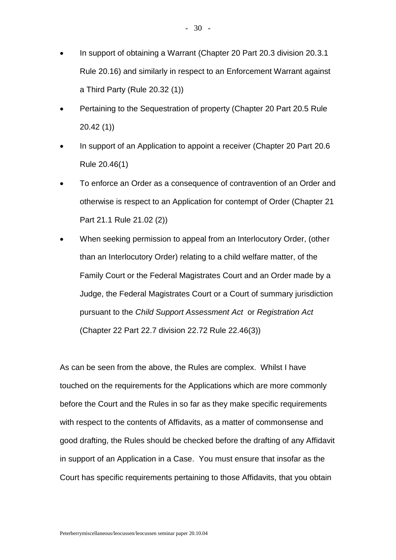- In support of obtaining a Warrant (Chapter 20 Part 20.3 division 20.3.1 Rule 20.16) and similarly in respect to an Enforcement Warrant against a Third Party (Rule 20.32 (1))
- Pertaining to the Sequestration of property (Chapter 20 Part 20.5 Rule 20.42 (1))
- In support of an Application to appoint a receiver (Chapter 20 Part 20.6 Rule 20.46(1)
- To enforce an Order as a consequence of contravention of an Order and otherwise is respect to an Application for contempt of Order (Chapter 21 Part 21.1 Rule 21.02 (2))
- When seeking permission to appeal from an Interlocutory Order, (other than an Interlocutory Order) relating to a child welfare matter, of the Family Court or the Federal Magistrates Court and an Order made by a Judge, the Federal Magistrates Court or a Court of summary jurisdiction pursuant to the *Child Support Assessment Act* or *Registration Act*  (Chapter 22 Part 22.7 division 22.72 Rule 22.46(3))

As can be seen from the above, the Rules are complex. Whilst I have touched on the requirements for the Applications which are more commonly before the Court and the Rules in so far as they make specific requirements with respect to the contents of Affidavits, as a matter of commonsense and good drafting, the Rules should be checked before the drafting of any Affidavit in support of an Application in a Case. You must ensure that insofar as the Court has specific requirements pertaining to those Affidavits, that you obtain